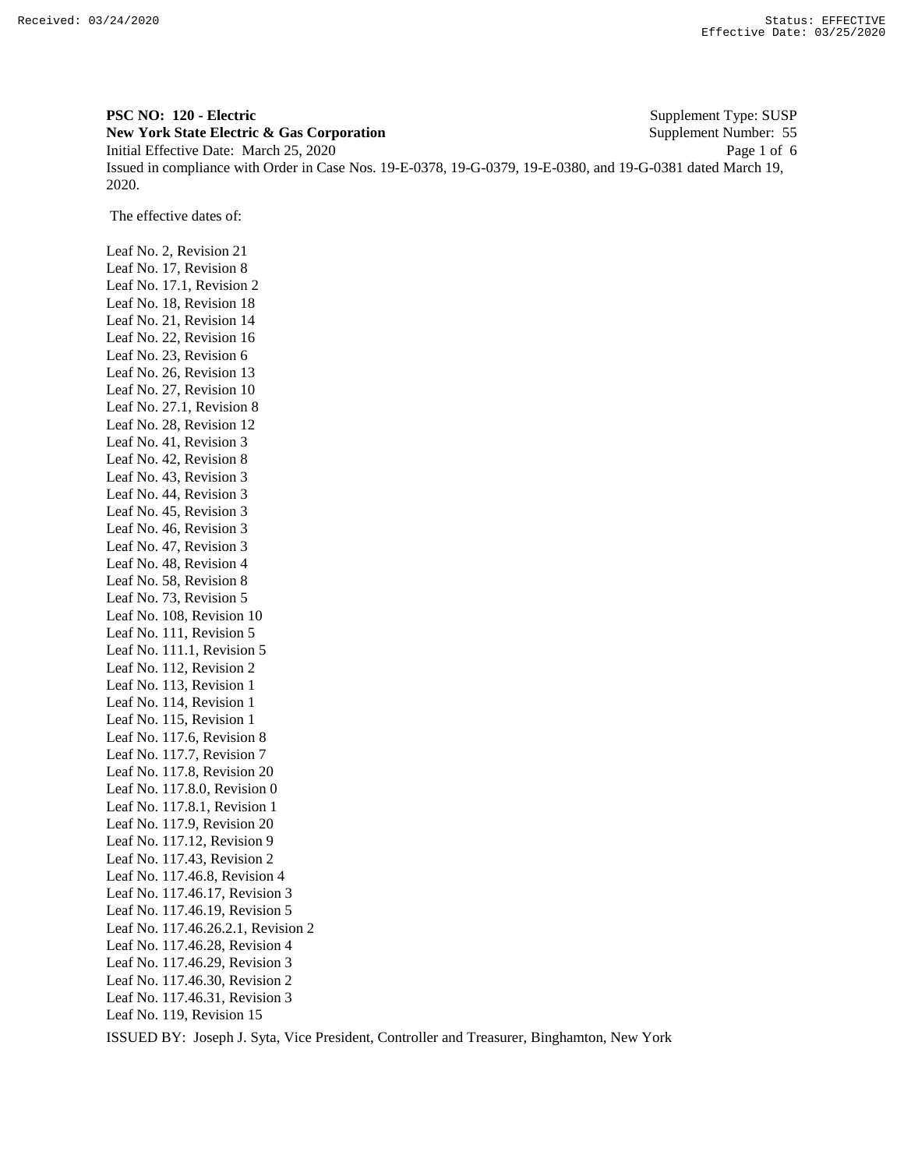**PSC NO: 120 - Electric** Supplement Type: SUSP **New York State Electric & Gas Corporation** Supplement Number: 55 Initial Effective Date: March 25, 2020 Page 1 of 6 Issued in compliance with Order in Case Nos. 19-E-0378, 19-G-0379, 19-E-0380, and 19-G-0381 dated March 19, 2020.

The effective dates of:

Leaf No. 2, Revision 21 Leaf No. 17, Revision 8 Leaf No. 17.1, Revision 2 Leaf No. 18, Revision 18 Leaf No. 21, Revision 14 Leaf No. 22, Revision 16 Leaf No. 23, Revision 6 Leaf No. 26, Revision 13 Leaf No. 27, Revision 10 Leaf No. 27.1, Revision 8 Leaf No. 28, Revision 12 Leaf No. 41, Revision 3 Leaf No. 42, Revision 8 Leaf No. 43, Revision 3 Leaf No. 44, Revision 3 Leaf No. 45, Revision 3 Leaf No. 46, Revision 3 Leaf No. 47, Revision 3 Leaf No. 48, Revision 4 Leaf No. 58, Revision 8 Leaf No. 73, Revision 5 Leaf No. 108, Revision 10 Leaf No. 111, Revision 5 Leaf No. 111.1, Revision 5 Leaf No. 112, Revision 2 Leaf No. 113, Revision 1 Leaf No. 114, Revision 1 Leaf No. 115, Revision 1 Leaf No. 117.6, Revision 8 Leaf No. 117.7, Revision 7 Leaf No. 117.8, Revision 20 Leaf No. 117.8.0, Revision 0 Leaf No. 117.8.1, Revision 1 Leaf No. 117.9, Revision 20 Leaf No. 117.12, Revision 9 Leaf No. 117.43, Revision 2 Leaf No. 117.46.8, Revision 4 Leaf No. 117.46.17, Revision 3 Leaf No. 117.46.19, Revision 5 Leaf No. 117.46.26.2.1, Revision 2 Leaf No. 117.46.28, Revision 4 Leaf No. 117.46.29, Revision 3 Leaf No. 117.46.30, Revision 2 Leaf No. 117.46.31, Revision 3 Leaf No. 119, Revision 15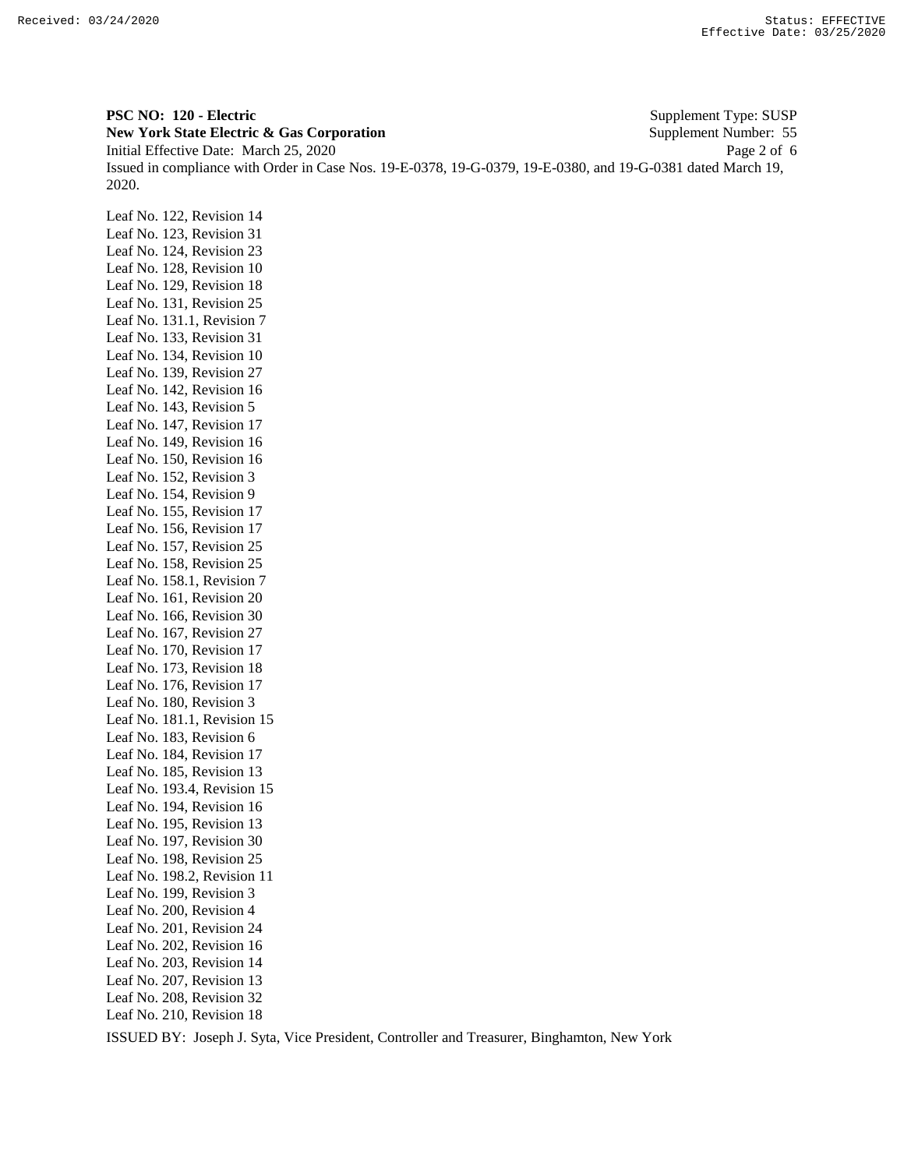**PSC NO: 120 - Electric** Supplement Type: SUSP **New York State Electric & Gas Corporation** Supplement Number: 55 Initial Effective Date: March 25, 2020 Page 2 of 6 Issued in compliance with Order in Case Nos. 19-E-0378, 19-G-0379, 19-E-0380, and 19-G-0381 dated March 19, 2020.

Leaf No. 122, Revision 14 Leaf No. 123, Revision 31 Leaf No. 124, Revision 23 Leaf No. 128, Revision 10 Leaf No. 129, Revision 18 Leaf No. 131, Revision 25 Leaf No. 131.1, Revision 7 Leaf No. 133, Revision 31 Leaf No. 134, Revision 10 Leaf No. 139, Revision 27 Leaf No. 142, Revision 16 Leaf No. 143, Revision 5 Leaf No. 147, Revision 17 Leaf No. 149, Revision 16 Leaf No. 150, Revision 16 Leaf No. 152, Revision 3 Leaf No. 154, Revision 9 Leaf No. 155, Revision 17 Leaf No. 156, Revision 17 Leaf No. 157, Revision 25 Leaf No. 158, Revision 25 Leaf No. 158.1, Revision 7 Leaf No. 161, Revision 20 Leaf No. 166, Revision 30 Leaf No. 167, Revision 27 Leaf No. 170, Revision 17 Leaf No. 173, Revision 18 Leaf No. 176, Revision 17 Leaf No. 180, Revision 3 Leaf No. 181.1, Revision 15 Leaf No. 183, Revision 6 Leaf No. 184, Revision 17 Leaf No. 185, Revision 13 Leaf No. 193.4, Revision 15 Leaf No. 194, Revision 16 Leaf No. 195, Revision 13 Leaf No. 197, Revision 30 Leaf No. 198, Revision 25 Leaf No. 198.2, Revision 11 Leaf No. 199, Revision 3 Leaf No. 200, Revision 4 Leaf No. 201, Revision 24 Leaf No. 202, Revision 16 Leaf No. 203, Revision 14 Leaf No. 207, Revision 13 Leaf No. 208, Revision 32 Leaf No. 210, Revision 18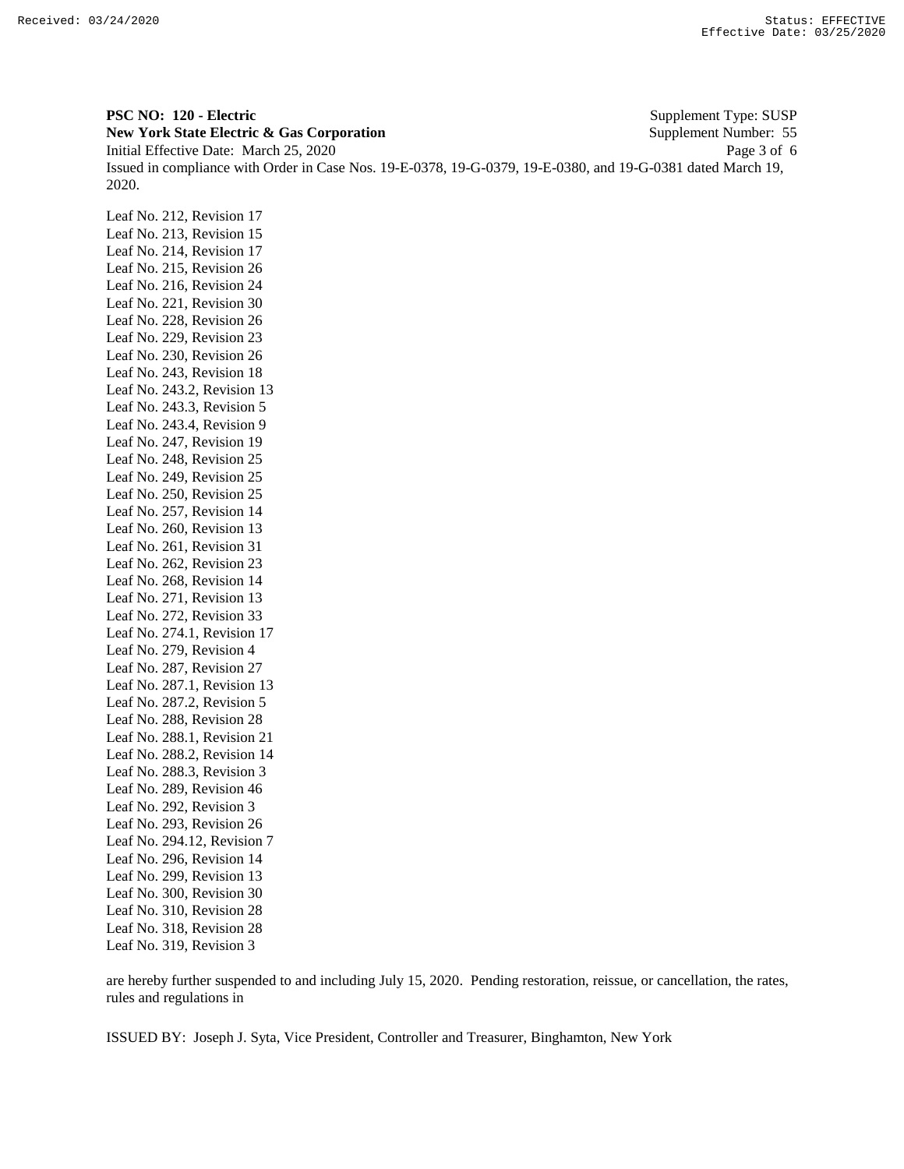**PSC NO: 120 - Electric** Supplement Type: SUSP **New York State Electric & Gas Corporation** Supplement Number: 55 Initial Effective Date: March 25, 2020 Page 3 of 6 Issued in compliance with Order in Case Nos. 19-E-0378, 19-G-0379, 19-E-0380, and 19-G-0381 dated March 19, 2020.

Leaf No. 212, Revision 17 Leaf No. 213, Revision 15 Leaf No. 214, Revision 17 Leaf No. 215, Revision 26 Leaf No. 216, Revision 24 Leaf No. 221, Revision 30 Leaf No. 228, Revision 26 Leaf No. 229, Revision 23 Leaf No. 230, Revision 26 Leaf No. 243, Revision 18 Leaf No. 243.2, Revision 13 Leaf No. 243.3, Revision 5 Leaf No. 243.4, Revision 9 Leaf No. 247, Revision 19 Leaf No. 248, Revision 25 Leaf No. 249, Revision 25 Leaf No. 250, Revision 25 Leaf No. 257, Revision 14 Leaf No. 260, Revision 13 Leaf No. 261, Revision 31 Leaf No. 262, Revision 23 Leaf No. 268, Revision 14 Leaf No. 271, Revision 13 Leaf No. 272, Revision 33 Leaf No. 274.1, Revision 17 Leaf No. 279, Revision 4 Leaf No. 287, Revision 27 Leaf No. 287.1, Revision 13 Leaf No. 287.2, Revision 5 Leaf No. 288, Revision 28 Leaf No. 288.1, Revision 21 Leaf No. 288.2, Revision 14 Leaf No. 288.3, Revision 3 Leaf No. 289, Revision 46 Leaf No. 292, Revision 3 Leaf No. 293, Revision 26 Leaf No. 294.12, Revision 7 Leaf No. 296, Revision 14 Leaf No. 299, Revision 13 Leaf No. 300, Revision 30 Leaf No. 310, Revision 28 Leaf No. 318, Revision 28 Leaf No. 319, Revision 3

are hereby further suspended to and including July 15, 2020. Pending restoration, reissue, or cancellation, the rates, rules and regulations in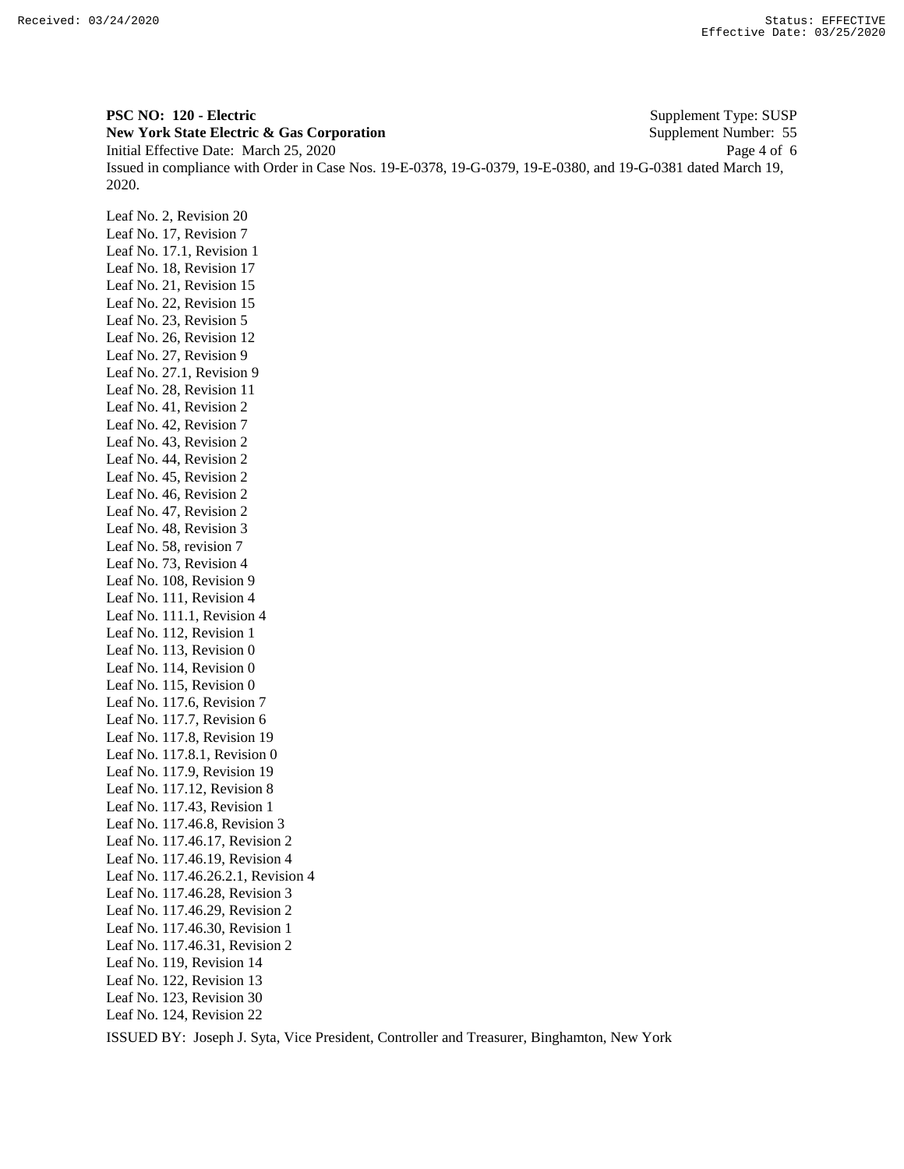**PSC NO: 120 - Electric** Supplement Type: SUSP **New York State Electric & Gas Corporation** Supplement Number: 55 Initial Effective Date: March 25, 2020 Page 4 of 6 Issued in compliance with Order in Case Nos. 19-E-0378, 19-G-0379, 19-E-0380, and 19-G-0381 dated March 19, 2020.

Leaf No. 2, Revision 20 Leaf No. 17, Revision 7 Leaf No. 17.1, Revision 1 Leaf No. 18, Revision 17 Leaf No. 21, Revision 15 Leaf No. 22, Revision 15 Leaf No. 23, Revision 5 Leaf No. 26, Revision 12 Leaf No. 27, Revision 9 Leaf No. 27.1, Revision 9 Leaf No. 28, Revision 11 Leaf No. 41, Revision 2 Leaf No. 42, Revision 7 Leaf No. 43, Revision 2 Leaf No. 44, Revision 2 Leaf No. 45, Revision 2 Leaf No. 46, Revision 2 Leaf No. 47, Revision 2 Leaf No. 48, Revision 3 Leaf No. 58, revision 7 Leaf No. 73, Revision 4 Leaf No. 108, Revision 9 Leaf No. 111, Revision 4 Leaf No. 111.1, Revision 4 Leaf No. 112, Revision 1 Leaf No. 113, Revision 0 Leaf No. 114, Revision 0 Leaf No. 115, Revision 0 Leaf No. 117.6, Revision 7 Leaf No. 117.7, Revision 6 Leaf No. 117.8, Revision 19 Leaf No. 117.8.1, Revision 0 Leaf No. 117.9, Revision 19 Leaf No. 117.12, Revision 8 Leaf No. 117.43, Revision 1 Leaf No. 117.46.8, Revision 3 Leaf No. 117.46.17, Revision 2 Leaf No. 117.46.19, Revision 4 Leaf No. 117.46.26.2.1, Revision 4 Leaf No. 117.46.28, Revision 3 Leaf No. 117.46.29, Revision 2 Leaf No. 117.46.30, Revision 1 Leaf No. 117.46.31, Revision 2 Leaf No. 119, Revision 14 Leaf No. 122, Revision 13 Leaf No. 123, Revision 30 Leaf No. 124, Revision 22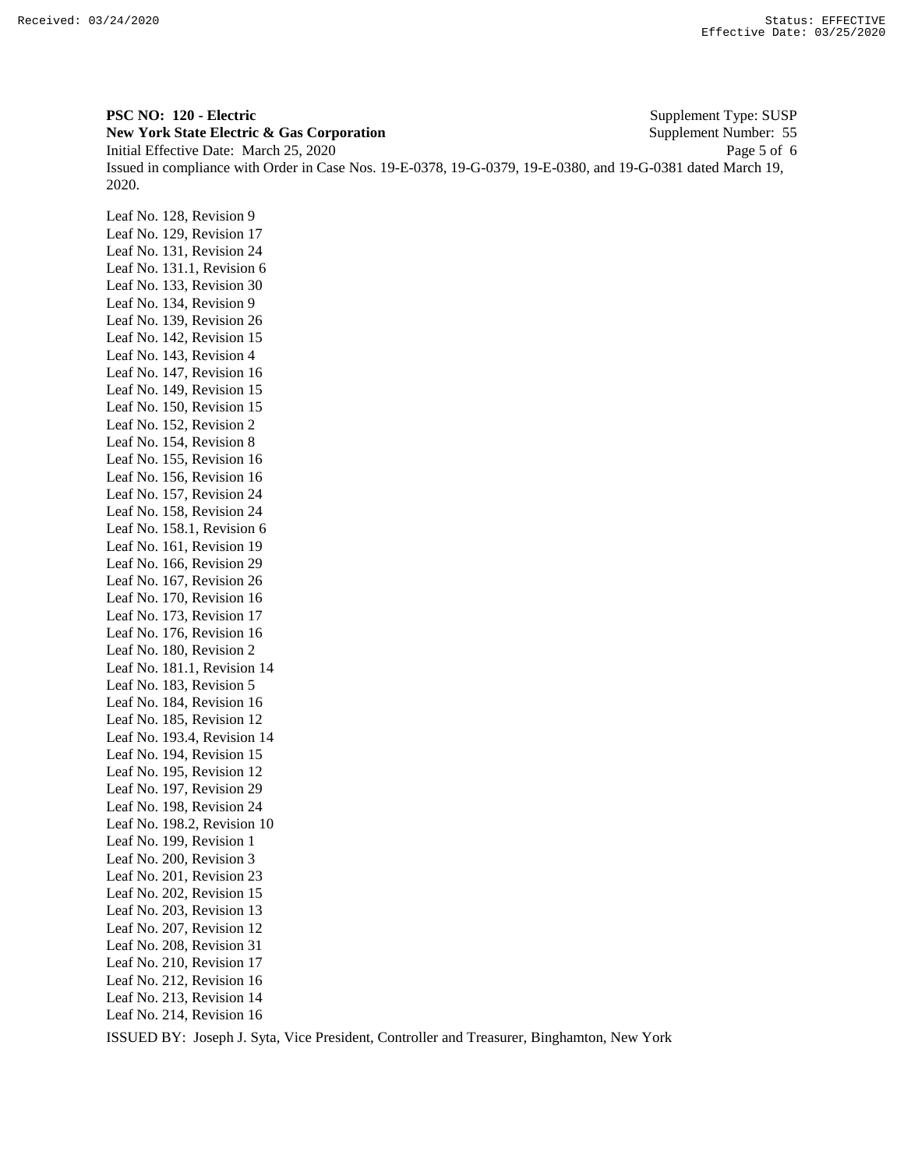**PSC NO: 120 - Electric** Supplement Type: SUSP **New York State Electric & Gas Corporation** Supplement Number: 55 Initial Effective Date: March 25, 2020 Page 5 of 6 Issued in compliance with Order in Case Nos. 19-E-0378, 19-G-0379, 19-E-0380, and 19-G-0381 dated March 19, 2020.

Leaf No. 128, Revision 9 Leaf No. 129, Revision 17 Leaf No. 131, Revision 24 Leaf No. 131.1, Revision 6 Leaf No. 133, Revision 30 Leaf No. 134, Revision 9 Leaf No. 139, Revision 26 Leaf No. 142, Revision 15 Leaf No. 143, Revision 4 Leaf No. 147, Revision 16 Leaf No. 149, Revision 15 Leaf No. 150, Revision 15 Leaf No. 152, Revision 2 Leaf No. 154, Revision 8 Leaf No. 155, Revision 16 Leaf No. 156, Revision 16 Leaf No. 157, Revision 24 Leaf No. 158, Revision 24 Leaf No. 158.1, Revision 6 Leaf No. 161, Revision 19 Leaf No. 166, Revision 29 Leaf No. 167, Revision 26 Leaf No. 170, Revision 16 Leaf No. 173, Revision 17 Leaf No. 176, Revision 16 Leaf No. 180, Revision 2 Leaf No. 181.1, Revision 14 Leaf No. 183, Revision 5 Leaf No. 184, Revision 16 Leaf No. 185, Revision 12 Leaf No. 193.4, Revision 14 Leaf No. 194, Revision 15 Leaf No. 195, Revision 12 Leaf No. 197, Revision 29 Leaf No. 198, Revision 24 Leaf No. 198.2, Revision 10 Leaf No. 199, Revision 1 Leaf No. 200, Revision 3 Leaf No. 201, Revision 23 Leaf No. 202, Revision 15 Leaf No. 203, Revision 13 Leaf No. 207, Revision 12 Leaf No. 208, Revision 31 Leaf No. 210, Revision 17 Leaf No. 212, Revision 16 Leaf No. 213, Revision 14 Leaf No. 214, Revision 16